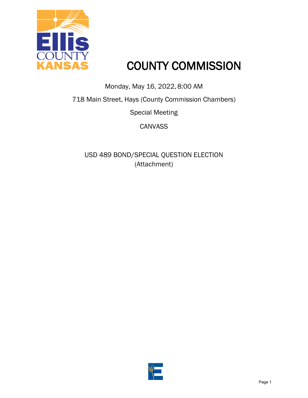

## COUNTY COMMISSION

Monday, May 16, 2022, 8:00 AM

718 Main Street, Hays (County Commission Chambers)

Special Meeting

**CANVASS** 

USD 489 BOND/SPECIAL QUESTION ELECTION (Attachment)